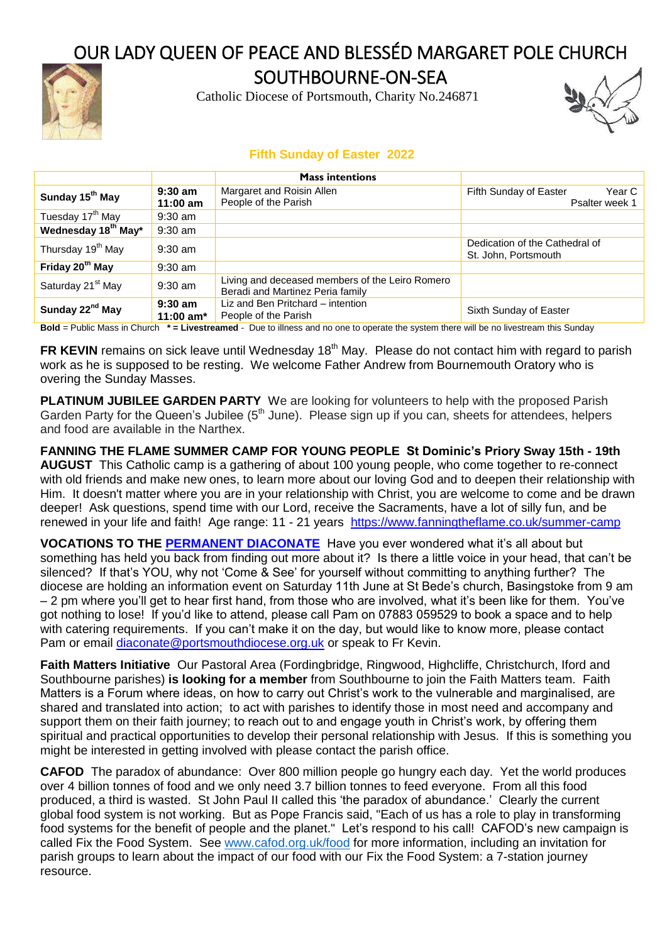# OUR LADY QUEEN OF PEACE AND BLESSÉD MARGARET POLE CHURCH



SOUTHBOURNE-ON-SEA

Catholic Diocese of Portsmouth, Charity No.246871



## **Fifth Sunday of Easter 2022**

|                                 |                          | <b>Mass intentions</b>                                                              |                                                        |
|---------------------------------|--------------------------|-------------------------------------------------------------------------------------|--------------------------------------------------------|
| Sunday 15 <sup>th</sup> May     | $9:30$ am<br>$11:00$ am  | Margaret and Roisin Allen<br>People of the Parish                                   | Fifth Sunday of Easter<br>Year C<br>Psalter week 1     |
| Tuesday 17 <sup>th</sup> May    | $9:30$ am                |                                                                                     |                                                        |
| Wednesday 18 <sup>th</sup> May* | $9:30$ am                |                                                                                     |                                                        |
| Thursday 19 <sup>th</sup> May   | $9:30$ am                |                                                                                     | Dedication of the Cathedral of<br>St. John, Portsmouth |
| Friday 20 <sup>th</sup> May     | $9:30$ am                |                                                                                     |                                                        |
| Saturday 21 <sup>st</sup> May   | $9:30$ am                | Living and deceased members of the Leiro Romero<br>Beradi and Martinez Peria family |                                                        |
| Sunday 22 <sup>nd</sup> May     | $9:30$ am<br>11:00 $am*$ | Liz and Ben Pritchard – intention<br>People of the Parish                           | Sixth Sunday of Easter                                 |

**Bold** = Public Mass in Church **\* = Livestreamed** - Due to illness and no one to operate the system there will be no livestream this Sunday

**FR KEVIN** remains on sick leave until Wednesday 18<sup>th</sup> May. Please do not contact him with regard to parish work as he is supposed to be resting. We welcome Father Andrew from Bournemouth Oratory who is overing the Sunday Masses.

**PLATINUM JUBILEE GARDEN PARTY** We are looking for volunteers to help with the proposed Parish Garden Party for the Queen's Jubilee ( $5<sup>th</sup>$  June). Please sign up if you can, sheets for attendees, helpers and food are available in the Narthex.

**FANNING THE FLAME SUMMER CAMP FOR YOUNG PEOPLE St Dominic's Priory Sway 15th - 19th AUGUST** This Catholic camp is a gathering of about 100 young people, who come together to re-connect with old friends and make new ones, to learn more about our loving God and to deepen their relationship with Him. It doesn't matter where you are in your relationship with Christ, you are welcome to come and be drawn deeper! Ask questions, spend time with our Lord, receive the Sacraments, have a lot of silly fun, and be renewed in your life and faith! Age range: 11 - 21 years <https://www.fanningtheflame.co.uk/summer-camp>

**VOCATIONS TO THE [PERMANENT DIACONATE](https://www.portsmouthdiocese.org.uk/permanent-diaconate)** Have you ever wondered what it's all about but something has held you back from finding out more about it? Is there a little voice in your head, that can't be silenced? If that's YOU, why not 'Come & See' for yourself without committing to anything further? The diocese are holding an information event on Saturday 11th June at St Bede's church, Basingstoke from 9 am – 2 pm where you'll get to hear first hand, from those who are involved, what it's been like for them. You've got nothing to lose! If you'd like to attend, please call Pam on 07883 059529 to book a space and to help with catering requirements. If you can't make it on the day, but would like to know more, please contact Pam or email [diaconate@portsmouthdiocese.org.uk](mailto:diaconate@portsmouthdiocese.org.uk) or speak to Fr Kevin.

**Faith Matters Initiative** Our Pastoral Area (Fordingbridge, Ringwood, Highcliffe, Christchurch, Iford and Southbourne parishes) **is looking for a member** from Southbourne to join the Faith Matters team. Faith Matters is a Forum where ideas, on how to carry out Christ's work to the vulnerable and marginalised, are shared and translated into action; to act with parishes to identify those in most need and accompany and support them on their faith journey; to reach out to and engage youth in Christ's work, by offering them spiritual and practical opportunities to develop their personal relationship with Jesus. If this is something you might be interested in getting involved with please contact the parish office.

**CAFOD** The paradox of abundance: Over 800 million people go hungry each day. Yet the world produces over 4 billion tonnes of food and we only need 3.7 billion tonnes to feed everyone. From all this food produced, a third is wasted. St John Paul II called this 'the paradox of abundance.' Clearly the current global food system is not working. But as Pope Francis said, "Each of us has a role to play in transforming food systems for the benefit of people and the planet." Let's respond to his call! CAFOD's new campaign is called Fix the Food System. See [www.cafod.org.uk/food](http://www.cafod.org.uk/food) for more information, including an invitation for parish groups to learn about the impact of our food with our Fix the Food System: a 7-station journey resource.